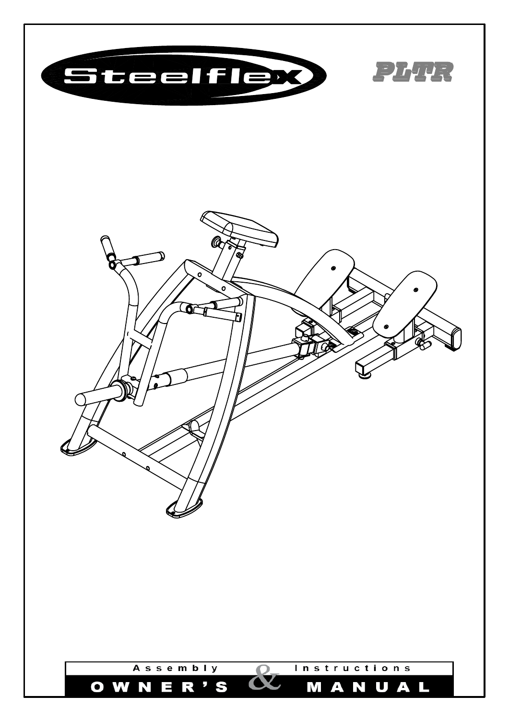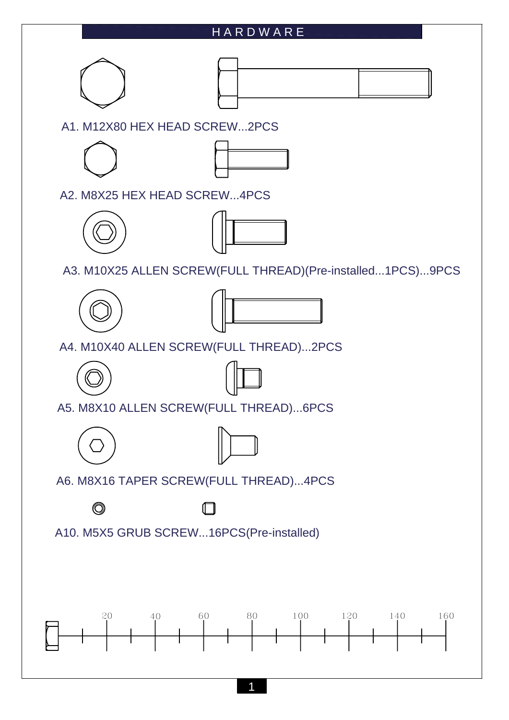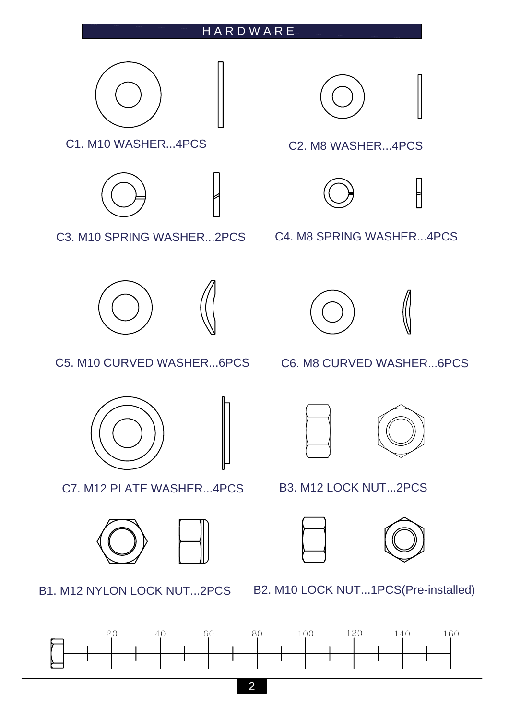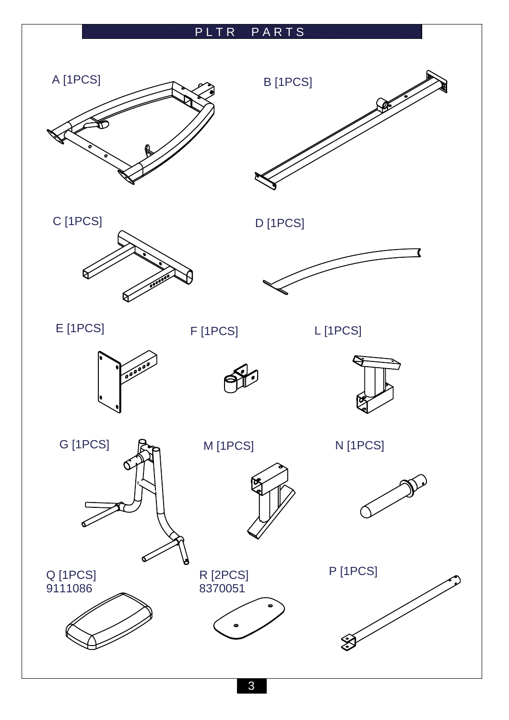## PLTR PARTS







C [1PCS] D [1PCS]



E [1PCS] F [1PCS]

9111086

L [1PCS]









G [1PCS]



M [1PCS] N [1PCS]



Q [1PCS] R [2PCS] P [1PCS]



8370051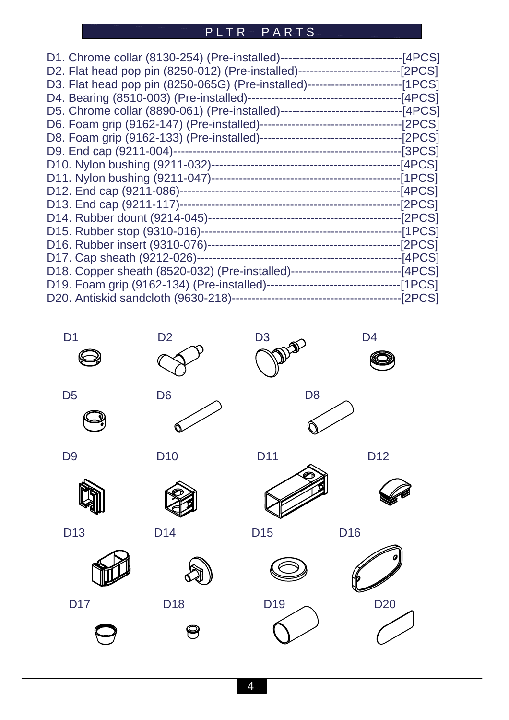## PLTR PARTS

| D2. Flat head pop pin (8250-012) (Pre-installed)---------------------------[2PCS]  |  |
|------------------------------------------------------------------------------------|--|
| D3. Flat head pop pin (8250-065G) (Pre-installed)------------------------[1PCS]    |  |
|                                                                                    |  |
|                                                                                    |  |
|                                                                                    |  |
|                                                                                    |  |
|                                                                                    |  |
|                                                                                    |  |
|                                                                                    |  |
|                                                                                    |  |
|                                                                                    |  |
|                                                                                    |  |
|                                                                                    |  |
|                                                                                    |  |
|                                                                                    |  |
| D18. Copper sheath (8520-032) (Pre-installed)-------------------------------[4PCS] |  |
|                                                                                    |  |
|                                                                                    |  |





















D13 D14 D15 D16



 $\bigcirc$